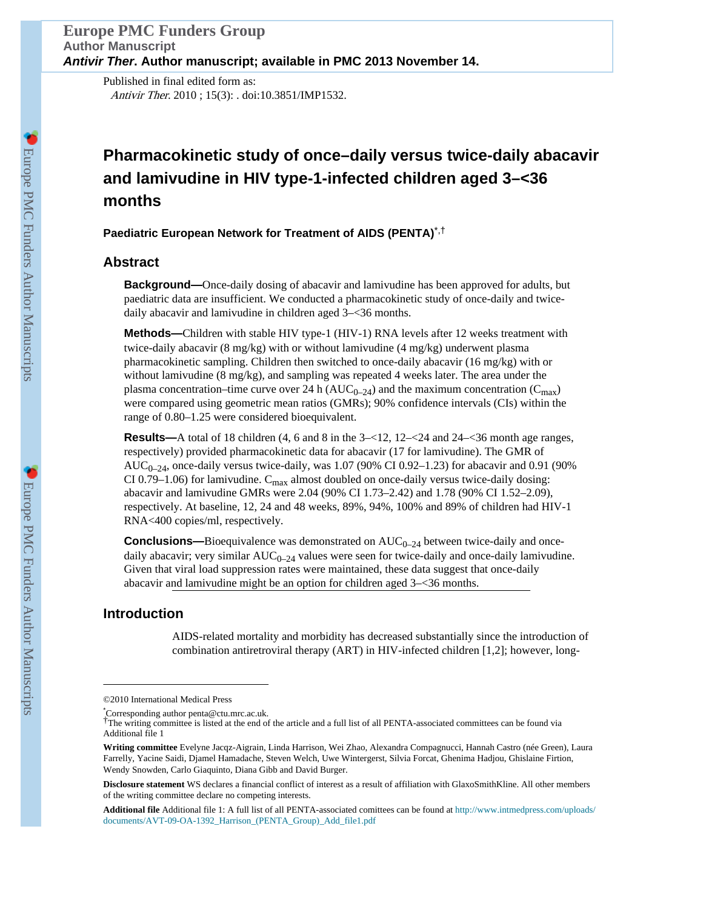Published in final edited form as: Antivir Ther. 2010 ; 15(3): . doi:10.3851/IMP1532.

# **Pharmacokinetic study of once–daily versus twice-daily abacavir and lamivudine in HIV type-1-infected children aged 3–<36 months**

**Paediatric European Network for Treatment of AIDS (PENTA)**\*,†

# **Abstract**

**Background—**Once-daily dosing of abacavir and lamivudine has been approved for adults, but paediatric data are insufficient. We conducted a pharmacokinetic study of once-daily and twicedaily abacavir and lamivudine in children aged 3–<36 months.

**Methods—**Children with stable HIV type-1 (HIV-1) RNA levels after 12 weeks treatment with twice-daily abacavir (8 mg/kg) with or without lamivudine (4 mg/kg) underwent plasma pharmacokinetic sampling. Children then switched to once-daily abacavir (16 mg/kg) with or without lamivudine (8 mg/kg), and sampling was repeated 4 weeks later. The area under the plasma concentration–time curve over 24 h ( $AUC_{0-24}$ ) and the maximum concentration ( $C_{\text{max}}$ ) were compared using geometric mean ratios (GMRs); 90% confidence intervals (CIs) within the range of 0.80–1.25 were considered bioequivalent.

**Results—**A total of 18 children (4, 6 and 8 in the 3– $\lt 12$ , 12– $\lt 24$  and 24– $\lt 36$  month age ranges, respectively) provided pharmacokinetic data for abacavir (17 for lamivudine). The GMR of  $AUC_{0-24}$ , once-daily versus twice-daily, was 1.07 (90% CI 0.92-1.23) for abacavir and 0.91 (90%) CI 0.79–1.06) for lamivudine.  $C_{\text{max}}$  almost doubled on once-daily versus twice-daily dosing: abacavir and lamivudine GMRs were 2.04 (90% CI 1.73–2.42) and 1.78 (90% CI 1.52–2.09), respectively. At baseline, 12, 24 and 48 weeks, 89%, 94%, 100% and 89% of children had HIV-1 RNA<400 copies/ml, respectively.

**Conclusions—Bioequivalence was demonstrated on**  $AUC_{0-24}$  **between twice-daily and once**daily abacavir; very similar  $AUC_{0-24}$  values were seen for twice-daily and once-daily lamivudine. Given that viral load suppression rates were maintained, these data suggest that once-daily abacavir and lamivudine might be an option for children aged 3–<36 months.

# **Introduction**

AIDS-related mortality and morbidity has decreased substantially since the introduction of combination antiretroviral therapy (ART) in HIV-infected children [1,2]; however, long-

<sup>©2010</sup> International Medical Press

<sup>\*</sup>Corresponding author penta@ctu.mrc.ac.uk.

<sup>†</sup>The writing committee is listed at the end of the article and a full list of all PENTA-associated committees can be found via Additional file 1

**Writing committee** Evelyne Jacqz-Aigrain, Linda Harrison, Wei Zhao, Alexandra Compagnucci, Hannah Castro (née Green), Laura Farrelly, Yacine Saidi, Djamel Hamadache, Steven Welch, Uwe Wintergerst, Silvia Forcat, Ghenima Hadjou, Ghislaine Firtion, Wendy Snowden, Carlo Giaquinto, Diana Gibb and David Burger.

**Disclosure statement** WS declares a financial conflict of interest as a result of affiliation with GlaxoSmithKline. All other members of the writing committee declare no competing interests.

**Additional file** Additional file 1: A full list of all PENTA-associated comittees can be found at [http://www.intmedpress.com/uploads/](http://www.intmedpress.com/uploads/documents/AVT-09-OA-1392_Harrison_(PENTA_Group)_Add_file1.pdf) [documents/AVT-09-OA-1392\\_Harrison\\_\(PENTA\\_Group\)\\_Add\\_file1.pdf](http://www.intmedpress.com/uploads/documents/AVT-09-OA-1392_Harrison_(PENTA_Group)_Add_file1.pdf)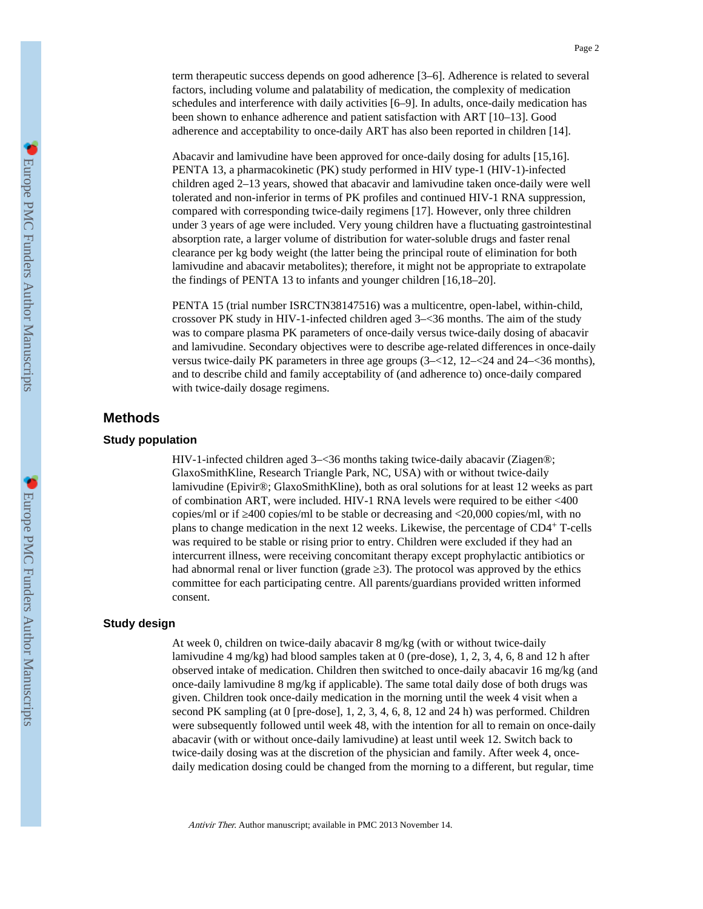term therapeutic success depends on good adherence [3–6]. Adherence is related to several factors, including volume and palatability of medication, the complexity of medication schedules and interference with daily activities [6–9]. In adults, once-daily medication has been shown to enhance adherence and patient satisfaction with ART [10–13]. Good adherence and acceptability to once-daily ART has also been reported in children [14].

Abacavir and lamivudine have been approved for once-daily dosing for adults [15,16]. PENTA 13, a pharmacokinetic (PK) study performed in HIV type-1 (HIV-1)-infected children aged 2–13 years, showed that abacavir and lamivudine taken once-daily were well tolerated and non-inferior in terms of PK profiles and continued HIV-1 RNA suppression, compared with corresponding twice-daily regimens [17]. However, only three children under 3 years of age were included. Very young children have a fluctuating gastrointestinal absorption rate, a larger volume of distribution for water-soluble drugs and faster renal clearance per kg body weight (the latter being the principal route of elimination for both lamivudine and abacavir metabolites); therefore, it might not be appropriate to extrapolate the findings of PENTA 13 to infants and younger children [16,18–20].

PENTA 15 (trial number ISRCTN38147516) was a multicentre, open-label, within-child, crossover PK study in HIV-1-infected children aged 3–<36 months. The aim of the study was to compare plasma PK parameters of once-daily versus twice-daily dosing of abacavir and lamivudine. Secondary objectives were to describe age-related differences in once-daily versus twice-daily PK parameters in three age groups (3–<12, 12–<24 and 24–<36 months), and to describe child and family acceptability of (and adherence to) once-daily compared with twice-daily dosage regimens.

## **Methods**

### **Study population**

HIV-1-infected children aged 3–<36 months taking twice-daily abacavir (Ziagen®; GlaxoSmithKline, Research Triangle Park, NC, USA) with or without twice-daily lamivudine (Epivir®; GlaxoSmithKline), both as oral solutions for at least 12 weeks as part of combination ART, were included. HIV-1 RNA levels were required to be either <400 copies/ml or if 400 copies/ml to be stable or decreasing and <20,000 copies/ml, with no plans to change medication in the next 12 weeks. Likewise, the percentage of CD4+ T-cells was required to be stable or rising prior to entry. Children were excluded if they had an intercurrent illness, were receiving concomitant therapy except prophylactic antibiotics or had abnormal renal or liver function (grade 3). The protocol was approved by the ethics committee for each participating centre. All parents/guardians provided written informed consent.

## **Study design**

At week 0, children on twice-daily abacavir 8 mg/kg (with or without twice-daily lamivudine 4 mg/kg) had blood samples taken at 0 (pre-dose), 1, 2, 3, 4, 6, 8 and 12 h after observed intake of medication. Children then switched to once-daily abacavir 16 mg/kg (and once-daily lamivudine 8 mg/kg if applicable). The same total daily dose of both drugs was given. Children took once-daily medication in the morning until the week 4 visit when a second PK sampling (at 0 [pre-dose], 1, 2, 3, 4, 6, 8, 12 and 24 h) was performed. Children were subsequently followed until week 48, with the intention for all to remain on once-daily abacavir (with or without once-daily lamivudine) at least until week 12. Switch back to twice-daily dosing was at the discretion of the physician and family. After week 4, oncedaily medication dosing could be changed from the morning to a different, but regular, time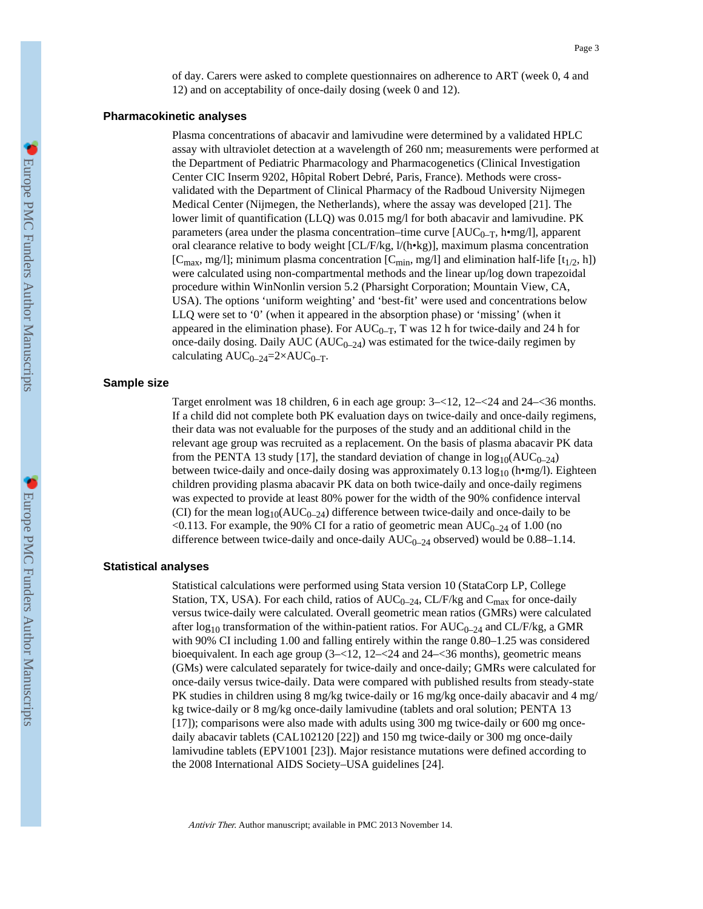of day. Carers were asked to complete questionnaires on adherence to ART (week 0, 4 and 12) and on acceptability of once-daily dosing (week 0 and 12).

#### **Pharmacokinetic analyses**

Plasma concentrations of abacavir and lamivudine were determined by a validated HPLC assay with ultraviolet detection at a wavelength of 260 nm; measurements were performed at the Department of Pediatric Pharmacology and Pharmacogenetics (Clinical Investigation Center CIC Inserm 9202, Hôpital Robert Debré, Paris, France). Methods were crossvalidated with the Department of Clinical Pharmacy of the Radboud University Nijmegen Medical Center (Nijmegen, the Netherlands), where the assay was developed [21]. The lower limit of quantification (LLQ) was 0.015 mg/l for both abacavir and lamivudine. PK parameters (area under the plasma concentration–time curve  $[AUC_{0-T}, h \bullet mg/l]$ , apparent oral clearance relative to body weight [CL/F/kg, l/(h•kg)], maximum plasma concentration [C<sub>max</sub>, mg/l]; minimum plasma concentration [C<sub>min</sub>, mg/l] and elimination half-life [t<sub>1/2</sub>, h]) were calculated using non-compartmental methods and the linear up/log down trapezoidal procedure within WinNonlin version 5.2 (Pharsight Corporation; Mountain View, CA, USA). The options 'uniform weighting' and 'best-fit' were used and concentrations below LLQ were set to '0' (when it appeared in the absorption phase) or 'missing' (when it appeared in the elimination phase). For  $AUC_{0-T}$ , T was 12 h for twice-daily and 24 h for once-daily dosing. Daily AUC ( $AUC_{0-24}$ ) was estimated for the twice-daily regimen by calculating  $AUC_{0-24}=2\times AUC_{0-T}$ .

#### **Sample size**

Target enrolment was 18 children, 6 in each age group: 3–<12, 12–<24 and 24–<36 months. If a child did not complete both PK evaluation days on twice-daily and once-daily regimens, their data was not evaluable for the purposes of the study and an additional child in the relevant age group was recruited as a replacement. On the basis of plasma abacavir PK data from the PENTA 13 study [17], the standard deviation of change in  $log_{10}(AUC_{0-24})$ between twice-daily and once-daily dosing was approximately 0.13  $log_{10}$  (h•mg/l). Eighteen children providing plasma abacavir PK data on both twice-daily and once-daily regimens was expected to provide at least 80% power for the width of the 90% confidence interval (CI) for the mean  $log_{10}(AUC_{0-24})$  difference between twice-daily and once-daily to be <0.113. For example, the 90% CI for a ratio of geometric mean  $AUC_{0-24}$  of 1.00 (no difference between twice-daily and once-daily  $AUC_{0-24}$  observed) would be 0.88–1.14.

## **Statistical analyses**

Statistical calculations were performed using Stata version 10 (StataCorp LP, College Station, TX, USA). For each child, ratios of  $AUC_{0-24}$ , CL/F/kg and C<sub>max</sub> for once-daily versus twice-daily were calculated. Overall geometric mean ratios (GMRs) were calculated after  $log_{10}$  transformation of the within-patient ratios. For AUC<sub>0–24</sub> and CL/F/kg, a GMR with 90% CI including 1.00 and falling entirely within the range 0.80–1.25 was considered bioequivalent. In each age group (3–<12, 12–<24 and 24–<36 months), geometric means (GMs) were calculated separately for twice-daily and once-daily; GMRs were calculated for once-daily versus twice-daily. Data were compared with published results from steady-state PK studies in children using 8 mg/kg twice-daily or 16 mg/kg once-daily abacavir and 4 mg/ kg twice-daily or 8 mg/kg once-daily lamivudine (tablets and oral solution; PENTA 13 [17]); comparisons were also made with adults using 300 mg twice-daily or 600 mg oncedaily abacavir tablets (CAL102120 [22]) and 150 mg twice-daily or 300 mg once-daily lamivudine tablets (EPV1001 [23]). Major resistance mutations were defined according to the 2008 International AIDS Society–USA guidelines [24].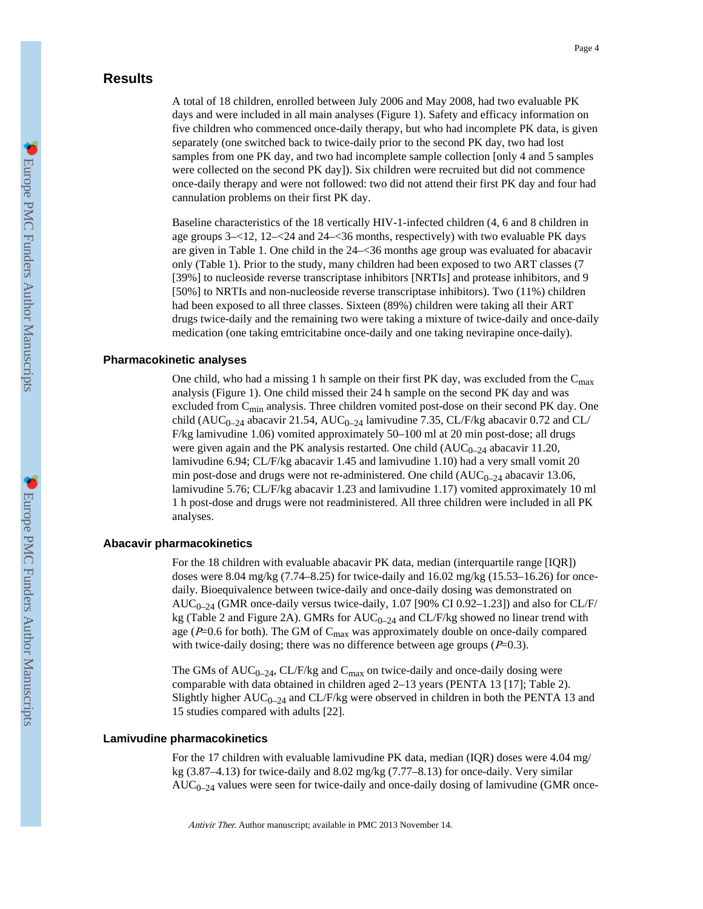# **Results**

A total of 18 children, enrolled between July 2006 and May 2008, had two evaluable PK days and were included in all main analyses (Figure 1). Safety and efficacy information on five children who commenced once-daily therapy, but who had incomplete PK data, is given separately (one switched back to twice-daily prior to the second PK day, two had lost samples from one PK day, and two had incomplete sample collection [only 4 and 5 samples were collected on the second PK day]). Six children were recruited but did not commence once-daily therapy and were not followed: two did not attend their first PK day and four had cannulation problems on their first PK day.

Baseline characteristics of the 18 vertically HIV-1-infected children (4, 6 and 8 children in age groups 3–<12, 12–<24 and 24–<36 months, respectively) with two evaluable PK days are given in Table 1. One child in the 24–<36 months age group was evaluated for abacavir only (Table 1). Prior to the study, many children had been exposed to two ART classes (7 [39%] to nucleoside reverse transcriptase inhibitors [NRTIs] and protease inhibitors, and 9 [50%] to NRTIs and non-nucleoside reverse transcriptase inhibitors). Two (11%) children had been exposed to all three classes. Sixteen (89%) children were taking all their ART drugs twice-daily and the remaining two were taking a mixture of twice-daily and once-daily medication (one taking emtricitabine once-daily and one taking nevirapine once-daily).

## **Pharmacokinetic analyses**

One child, who had a missing 1 h sample on their first PK day, was excluded from the  $C_{\text{max}}$ analysis (Figure 1). One child missed their 24 h sample on the second PK day and was excluded from  $C_{\text{min}}$  analysis. Three children vomited post-dose on their second PK day. One child (AUC<sub>0–24</sub> abacavir 21.54, AUC<sub>0–24</sub> lamivudine 7.35, CL/F/kg abacavir 0.72 and CL/ F/kg lamivudine 1.06) vomited approximately 50–100 ml at 20 min post-dose; all drugs were given again and the PK analysis restarted. One child  $(AUC_{0-24}$  abacavir 11.20, lamivudine 6.94; CL/F/kg abacavir 1.45 and lamivudine 1.10) had a very small vomit 20 min post-dose and drugs were not re-administered. One child  $(AUC_{0-24}$  abacavir 13.06, lamivudine 5.76; CL/F/kg abacavir 1.23 and lamivudine 1.17) vomited approximately 10 ml 1 h post-dose and drugs were not readministered. All three children were included in all PK analyses.

## **Abacavir pharmacokinetics**

For the 18 children with evaluable abacavir PK data, median (interquartile range [IQR]) doses were 8.04 mg/kg  $(7.74–8.25)$  for twice-daily and 16.02 mg/kg  $(15.53–16.26)$  for oncedaily. Bioequivalence between twice-daily and once-daily dosing was demonstrated on  $AUC_{0-24}$  (GMR once-daily versus twice-daily, 1.07 [90% CI 0.92-1.23]) and also for CL/F/ kg (Table 2 and Figure 2A). GMRs for  $AUC_{0-24}$  and  $CL/F/kg$  showed no linear trend with age ( $P=0.6$  for both). The GM of  $C_{\text{max}}$  was approximately double on once-daily compared with twice-daily dosing; there was no difference between age groups  $(P=0.3)$ .

The GMs of  $AUC_{0-24}$ , CL/F/kg and C<sub>max</sub> on twice-daily and once-daily dosing were comparable with data obtained in children aged 2–13 years (PENTA 13 [17]; Table 2). Slightly higher  $AUC_{0-24}$  and CL/F/kg were observed in children in both the PENTA 13 and 15 studies compared with adults [22].

## **Lamivudine pharmacokinetics**

For the 17 children with evaluable lamivudine PK data, median (IQR) doses were 4.04 mg/ kg (3.87–4.13) for twice-daily and 8.02 mg/kg (7.77–8.13) for once-daily. Very similar  $AUC_{0-24}$  values were seen for twice-daily and once-daily dosing of lamivudine (GMR once-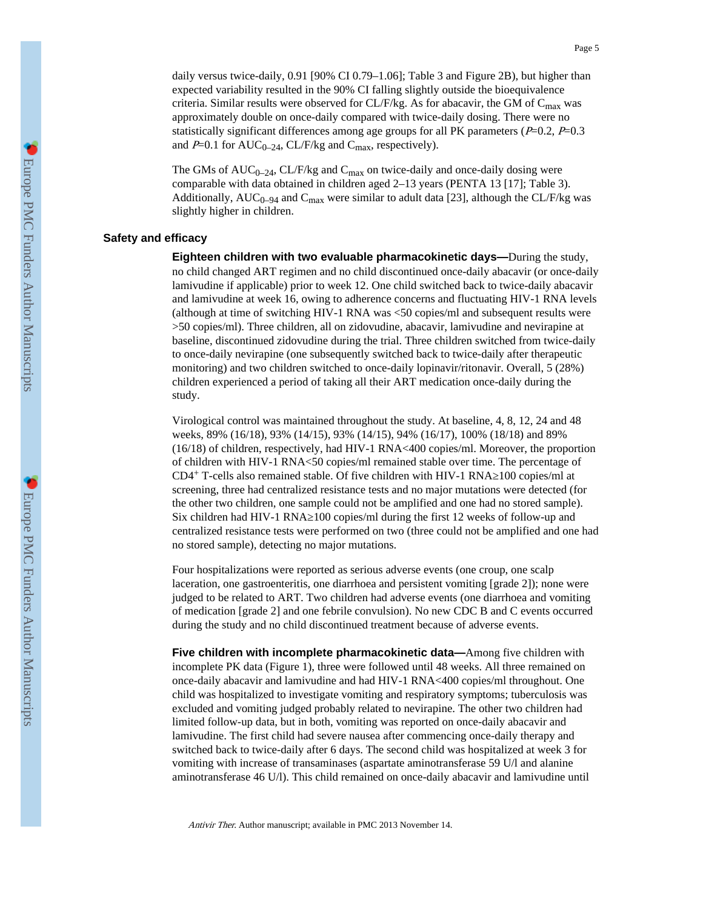daily versus twice-daily, 0.91 [90% CI 0.79–1.06]; Table 3 and Figure 2B), but higher than expected variability resulted in the 90% CI falling slightly outside the bioequivalence criteria. Similar results were observed for CL/F/kg. As for abacavir, the GM of  $C_{\text{max}}$  was approximately double on once-daily compared with twice-daily dosing. There were no statistically significant differences among age groups for all PK parameters ( $P=0.2$ ,  $P=0.3$ and  $P=0.1$  for AUC<sub>0–24</sub>, CL/F/kg and C<sub>max</sub>, respectively).

The GMs of  $AUC_{0-24}$ , CL/F/kg and  $C_{max}$  on twice-daily and once-daily dosing were comparable with data obtained in children aged 2–13 years (PENTA 13 [17]; Table 3). Additionally,  $AUC_{0-94}$  and  $C_{\text{max}}$  were similar to adult data [23], although the CL/F/kg was slightly higher in children.

#### **Safety and efficacy**

**Eighteen children with two evaluable pharmacokinetic days—**During the study, no child changed ART regimen and no child discontinued once-daily abacavir (or once-daily lamivudine if applicable) prior to week 12. One child switched back to twice-daily abacavir and lamivudine at week 16, owing to adherence concerns and fluctuating HIV-1 RNA levels (although at time of switching HIV-1 RNA was <50 copies/ml and subsequent results were >50 copies/ml). Three children, all on zidovudine, abacavir, lamivudine and nevirapine at baseline, discontinued zidovudine during the trial. Three children switched from twice-daily to once-daily nevirapine (one subsequently switched back to twice-daily after therapeutic monitoring) and two children switched to once-daily lopinavir/ritonavir. Overall, 5 (28%) children experienced a period of taking all their ART medication once-daily during the study.

Virological control was maintained throughout the study. At baseline, 4, 8, 12, 24 and 48 weeks, 89% (16/18), 93% (14/15), 93% (14/15), 94% (16/17), 100% (18/18) and 89% (16/18) of children, respectively, had HIV-1 RNA<400 copies/ml. Moreover, the proportion of children with HIV-1 RNA<50 copies/ml remained stable over time. The percentage of  $CD4+$  T-cells also remained stable. Of five children with HIV-1 RNA  $100$  copies/ml at screening, three had centralized resistance tests and no major mutations were detected (for the other two children, one sample could not be amplified and one had no stored sample). Six children had HIV-1 RNA 100 copies/ml during the first 12 weeks of follow-up and centralized resistance tests were performed on two (three could not be amplified and one had no stored sample), detecting no major mutations.

Four hospitalizations were reported as serious adverse events (one croup, one scalp laceration, one gastroenteritis, one diarrhoea and persistent vomiting [grade 2]); none were judged to be related to ART. Two children had adverse events (one diarrhoea and vomiting of medication [grade 2] and one febrile convulsion). No new CDC B and C events occurred during the study and no child discontinued treatment because of adverse events.

**Five children with incomplete pharmacokinetic data—**Among five children with incomplete PK data (Figure 1), three were followed until 48 weeks. All three remained on once-daily abacavir and lamivudine and had HIV-1 RNA<400 copies/ml throughout. One child was hospitalized to investigate vomiting and respiratory symptoms; tuberculosis was excluded and vomiting judged probably related to nevirapine. The other two children had limited follow-up data, but in both, vomiting was reported on once-daily abacavir and lamivudine. The first child had severe nausea after commencing once-daily therapy and switched back to twice-daily after 6 days. The second child was hospitalized at week 3 for vomiting with increase of transaminases (aspartate aminotransferase 59 U/l and alanine aminotransferase 46 U/l). This child remained on once-daily abacavir and lamivudine until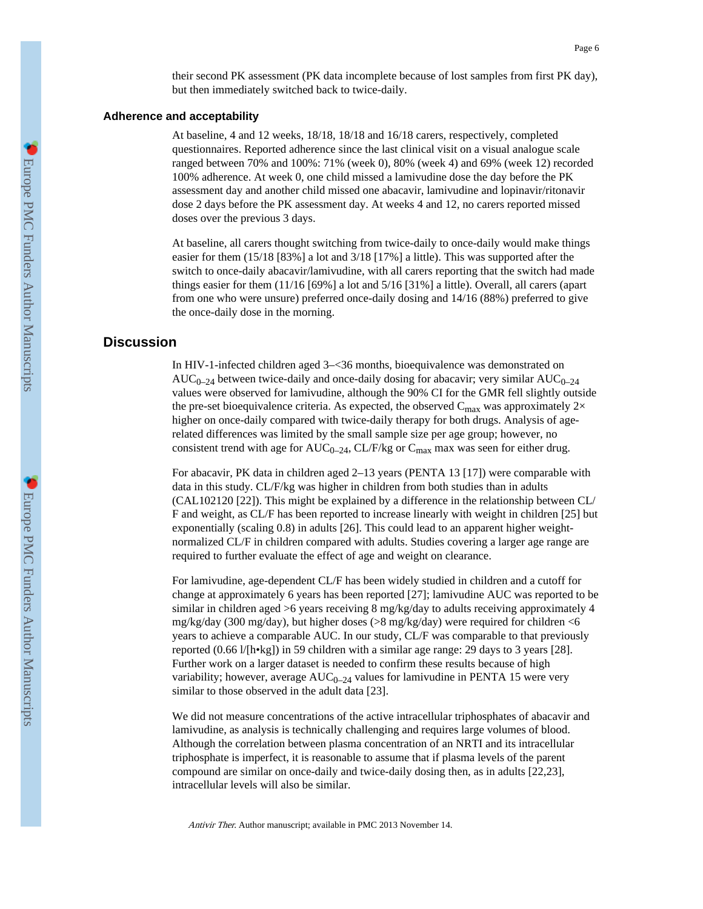their second PK assessment (PK data incomplete because of lost samples from first PK day), but then immediately switched back to twice-daily.

## **Adherence and acceptability**

At baseline, 4 and 12 weeks, 18/18, 18/18 and 16/18 carers, respectively, completed questionnaires. Reported adherence since the last clinical visit on a visual analogue scale ranged between 70% and 100%: 71% (week 0), 80% (week 4) and 69% (week 12) recorded 100% adherence. At week 0, one child missed a lamivudine dose the day before the PK assessment day and another child missed one abacavir, lamivudine and lopinavir/ritonavir dose 2 days before the PK assessment day. At weeks 4 and 12, no carers reported missed doses over the previous 3 days.

At baseline, all carers thought switching from twice-daily to once-daily would make things easier for them (15/18 [83%] a lot and 3/18 [17%] a little). This was supported after the switch to once-daily abacavir/lamivudine, with all carers reporting that the switch had made things easier for them (11/16 [69%] a lot and 5/16 [31%] a little). Overall, all carers (apart from one who were unsure) preferred once-daily dosing and 14/16 (88%) preferred to give the once-daily dose in the morning.

## **Discussion**

In HIV-1-infected children aged 3–<36 months, bioequivalence was demonstrated on  $AUC_{0-24}$  between twice-daily and once-daily dosing for abacavir; very similar  $AUC_{0-24}$ values were observed for lamivudine, although the 90% CI for the GMR fell slightly outside the pre-set bioequivalence criteria. As expected, the observed  $C_{\text{max}}$  was approximately 2 $\times$ higher on once-daily compared with twice-daily therapy for both drugs. Analysis of agerelated differences was limited by the small sample size per age group; however, no consistent trend with age for  $AUC_{0-24}$ , CL/F/kg or  $C_{\text{max}}$  max was seen for either drug.

For abacavir, PK data in children aged 2–13 years (PENTA 13 [17]) were comparable with data in this study. CL/F/kg was higher in children from both studies than in adults (CAL102120 [22]). This might be explained by a difference in the relationship between CL/ F and weight, as CL/F has been reported to increase linearly with weight in children [25] but exponentially (scaling 0.8) in adults [26]. This could lead to an apparent higher weightnormalized CL/F in children compared with adults. Studies covering a larger age range are required to further evaluate the effect of age and weight on clearance.

For lamivudine, age-dependent CL/F has been widely studied in children and a cutoff for change at approximately 6 years has been reported [27]; lamivudine AUC was reported to be similar in children aged >6 years receiving 8 mg/kg/day to adults receiving approximately 4 mg/kg/day (300 mg/day), but higher doses (>8 mg/kg/day) were required for children <6 years to achieve a comparable AUC. In our study, CL/F was comparable to that previously reported (0.66 l/[h•kg]) in 59 children with a similar age range: 29 days to 3 years [28]. Further work on a larger dataset is needed to confirm these results because of high variability; however, average  $AUC_{0-24}$  values for lamivudine in PENTA 15 were very similar to those observed in the adult data [23].

We did not measure concentrations of the active intracellular triphosphates of abacavir and lamivudine, as analysis is technically challenging and requires large volumes of blood. Although the correlation between plasma concentration of an NRTI and its intracellular triphosphate is imperfect, it is reasonable to assume that if plasma levels of the parent compound are similar on once-daily and twice-daily dosing then, as in adults [22,23], intracellular levels will also be similar.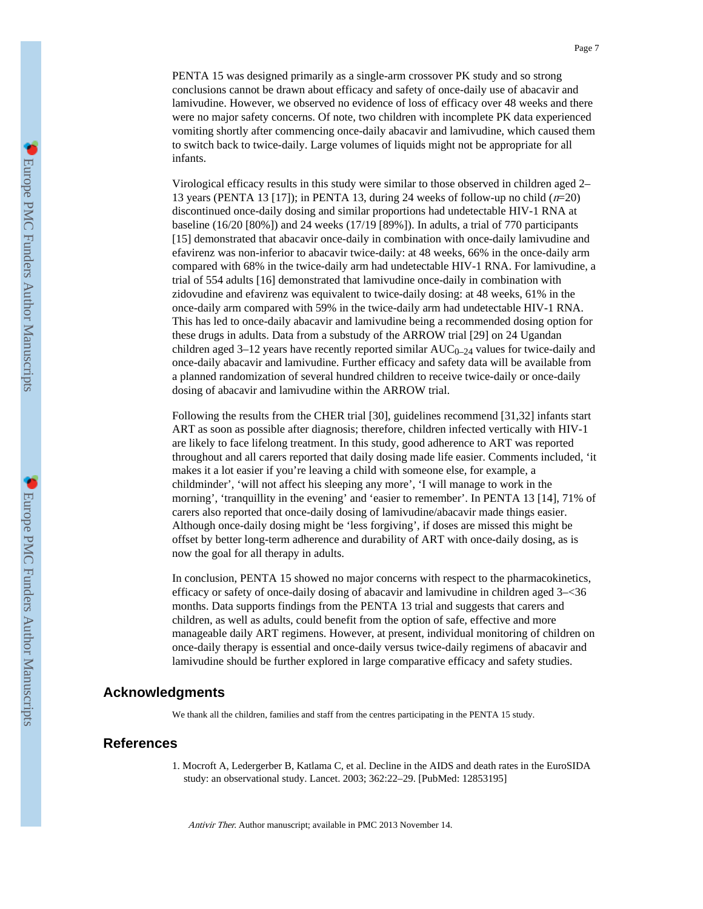Europe PMC Funders Author Manuscripts

PENTA 15 was designed primarily as a single-arm crossover PK study and so strong conclusions cannot be drawn about efficacy and safety of once-daily use of abacavir and lamivudine. However, we observed no evidence of loss of efficacy over 48 weeks and there were no major safety concerns. Of note, two children with incomplete PK data experienced vomiting shortly after commencing once-daily abacavir and lamivudine, which caused them to switch back to twice-daily. Large volumes of liquids might not be appropriate for all

Virological efficacy results in this study were similar to those observed in children aged 2– 13 years (PENTA 13 [17]); in PENTA 13, during 24 weeks of follow-up no child  $(n=20)$ discontinued once-daily dosing and similar proportions had undetectable HIV-1 RNA at baseline (16/20 [80%]) and 24 weeks (17/19 [89%]). In adults, a trial of 770 participants [15] demonstrated that abacavir once-daily in combination with once-daily lamivudine and efavirenz was non-inferior to abacavir twice-daily: at 48 weeks, 66% in the once-daily arm compared with 68% in the twice-daily arm had undetectable HIV-1 RNA. For lamivudine, a trial of 554 adults [16] demonstrated that lamivudine once-daily in combination with zidovudine and efavirenz was equivalent to twice-daily dosing: at 48 weeks, 61% in the once-daily arm compared with 59% in the twice-daily arm had undetectable HIV-1 RNA. This has led to once-daily abacavir and lamivudine being a recommended dosing option for these drugs in adults. Data from a substudy of the ARROW trial [29] on 24 Ugandan children aged 3–12 years have recently reported similar  $AUC_{0-24}$  values for twice-daily and once-daily abacavir and lamivudine. Further efficacy and safety data will be available from a planned randomization of several hundred children to receive twice-daily or once-daily dosing of abacavir and lamivudine within the ARROW trial.

Following the results from the CHER trial [30], guidelines recommend [31,32] infants start ART as soon as possible after diagnosis; therefore, children infected vertically with HIV-1 are likely to face lifelong treatment. In this study, good adherence to ART was reported throughout and all carers reported that daily dosing made life easier. Comments included, 'it makes it a lot easier if you're leaving a child with someone else, for example, a childminder', 'will not affect his sleeping any more', 'I will manage to work in the morning', 'tranquillity in the evening' and 'easier to remember'. In PENTA 13 [14], 71% of carers also reported that once-daily dosing of lamivudine/abacavir made things easier. Although once-daily dosing might be 'less forgiving', if doses are missed this might be offset by better long-term adherence and durability of ART with once-daily dosing, as is now the goal for all therapy in adults.

In conclusion, PENTA 15 showed no major concerns with respect to the pharmacokinetics, efficacy or safety of once-daily dosing of abacavir and lamivudine in children aged 3–<36 months. Data supports findings from the PENTA 13 trial and suggests that carers and children, as well as adults, could benefit from the option of safe, effective and more manageable daily ART regimens. However, at present, individual monitoring of children on once-daily therapy is essential and once-daily versus twice-daily regimens of abacavir and lamivudine should be further explored in large comparative efficacy and safety studies.

## **Acknowledgments**

infants.

We thank all the children, families and staff from the centres participating in the PENTA 15 study.

## **References**

1. Mocroft A, Ledergerber B, Katlama C, et al. Decline in the AIDS and death rates in the EuroSIDA study: an observational study. Lancet. 2003; 362:22–29. [PubMed: 12853195]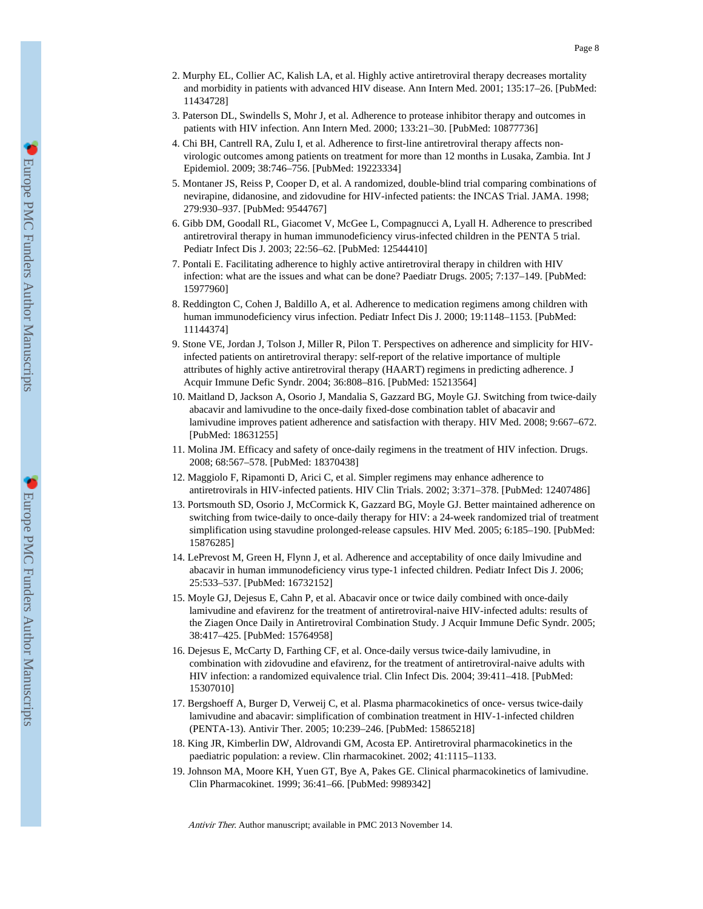- 2. Murphy EL, Collier AC, Kalish LA, et al. Highly active antiretroviral therapy decreases mortality and morbidity in patients with advanced HIV disease. Ann Intern Med. 2001; 135:17–26. [PubMed: 11434728]
- 3. Paterson DL, Swindells S, Mohr J, et al. Adherence to protease inhibitor therapy and outcomes in patients with HIV infection. Ann Intern Med. 2000; 133:21–30. [PubMed: 10877736]
- 4. Chi BH, Cantrell RA, Zulu I, et al. Adherence to first-line antiretroviral therapy affects nonvirologic outcomes among patients on treatment for more than 12 months in Lusaka, Zambia. Int J Epidemiol. 2009; 38:746–756. [PubMed: 19223334]
- 5. Montaner JS, Reiss P, Cooper D, et al. A randomized, double-blind trial comparing combinations of nevirapine, didanosine, and zidovudine for HIV-infected patients: the INCAS Trial. JAMA. 1998; 279:930–937. [PubMed: 9544767]
- 6. Gibb DM, Goodall RL, Giacomet V, McGee L, Compagnucci A, Lyall H. Adherence to prescribed antiretroviral therapy in human immunodeficiency virus-infected children in the PENTA 5 trial. Pediatr Infect Dis J. 2003; 22:56–62. [PubMed: 12544410]
- 7. Pontali E. Facilitating adherence to highly active antiretroviral therapy in children with HIV infection: what are the issues and what can be done? Paediatr Drugs. 2005; 7:137–149. [PubMed: 15977960]
- 8. Reddington C, Cohen J, Baldillo A, et al. Adherence to medication regimens among children with human immunodeficiency virus infection. Pediatr Infect Dis J. 2000; 19:1148–1153. [PubMed: 11144374]
- 9. Stone VE, Jordan J, Tolson J, Miller R, Pilon T. Perspectives on adherence and simplicity for HIVinfected patients on antiretroviral therapy: self-report of the relative importance of multiple attributes of highly active antiretroviral therapy (HAART) regimens in predicting adherence. J Acquir Immune Defic Syndr. 2004; 36:808–816. [PubMed: 15213564]
- 10. Maitland D, Jackson A, Osorio J, Mandalia S, Gazzard BG, Moyle GJ. Switching from twice-daily abacavir and lamivudine to the once-daily fixed-dose combination tablet of abacavir and lamivudine improves patient adherence and satisfaction with therapy. HIV Med. 2008; 9:667–672. [PubMed: 18631255]
- 11. Molina JM. Efficacy and safety of once-daily regimens in the treatment of HIV infection. Drugs. 2008; 68:567–578. [PubMed: 18370438]
- 12. Maggiolo F, Ripamonti D, Arici C, et al. Simpler regimens may enhance adherence to antiretrovirals in HIV-infected patients. HIV Clin Trials. 2002; 3:371–378. [PubMed: 12407486]
- 13. Portsmouth SD, Osorio J, McCormick K, Gazzard BG, Moyle GJ. Better maintained adherence on switching from twice-daily to once-daily therapy for HIV: a 24-week randomized trial of treatment simplification using stavudine prolonged-release capsules. HIV Med. 2005; 6:185–190. [PubMed: 15876285]
- 14. LePrevost M, Green H, Flynn J, et al. Adherence and acceptability of once daily lmivudine and abacavir in human immunodeficiency virus type-1 infected children. Pediatr Infect Dis J. 2006; 25:533–537. [PubMed: 16732152]
- 15. Moyle GJ, Dejesus E, Cahn P, et al. Abacavir once or twice daily combined with once-daily lamivudine and efavirenz for the treatment of antiretroviral-naive HIV-infected adults: results of the Ziagen Once Daily in Antiretroviral Combination Study. J Acquir Immune Defic Syndr. 2005; 38:417–425. [PubMed: 15764958]
- 16. Dejesus E, McCarty D, Farthing CF, et al. Once-daily versus twice-daily lamivudine, in combination with zidovudine and efavirenz, for the treatment of antiretroviral-naive adults with HIV infection: a randomized equivalence trial. Clin Infect Dis. 2004; 39:411–418. [PubMed: 15307010]
- 17. Bergshoeff A, Burger D, Verweij C, et al. Plasma pharmacokinetics of once- versus twice-daily lamivudine and abacavir: simplification of combination treatment in HIV-1-infected children (PENTA-13). Antivir Ther. 2005; 10:239–246. [PubMed: 15865218]
- 18. King JR, Kimberlin DW, Aldrovandi GM, Acosta EP. Antiretroviral pharmacokinetics in the paediatric population: a review. Clin rharmacokinet. 2002; 41:1115–1133.
- 19. Johnson MA, Moore KH, Yuen GT, Bye A, Pakes GE. Clinical pharmacokinetics of lamivudine. Clin Pharmacokinet. 1999; 36:41–66. [PubMed: 9989342]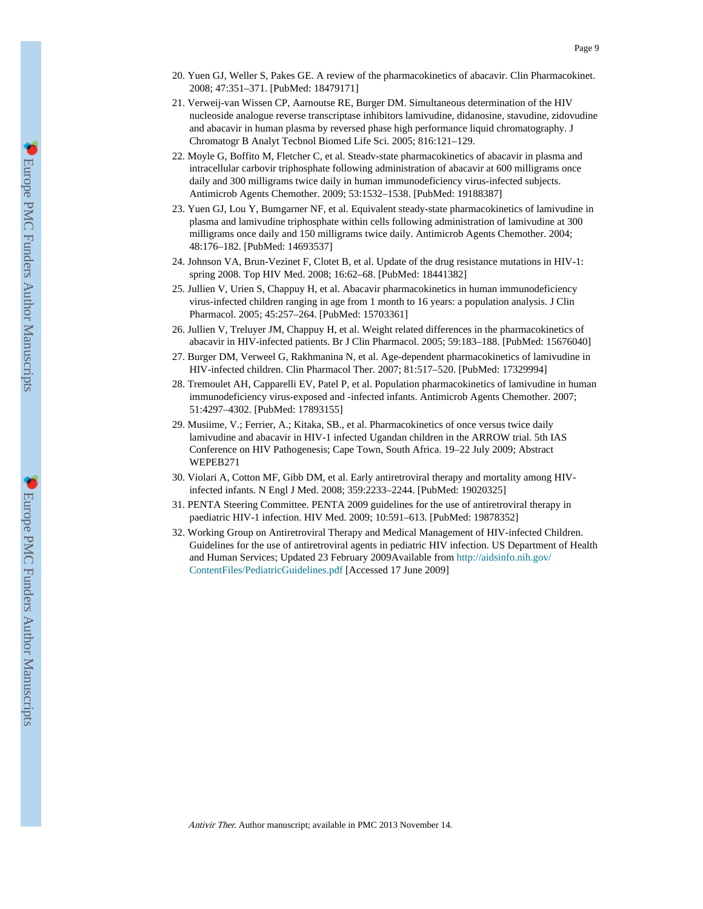- 20. Yuen GJ, Weller S, Pakes GE. A review of the pharmacokinetics of abacavir. Clin Pharmacokinet. 2008; 47:351–371. [PubMed: 18479171]
- 21. Verweij-van Wissen CP, Aarnoutse RE, Burger DM. Simultaneous determination of the HIV nucleoside analogue reverse transcriptase inhibitors lamivudine, didanosine, stavudine, zidovudine and abacavir in human plasma by reversed phase high performance liquid chromatography. J Chromatogr B Analyt Tecbnol Biomed Life Sci. 2005; 816:121–129.
- 22. Moyle G, Boffito M, Fletcher C, et al. Steadv-state pharmacokinetics of abacavir in plasma and intracellular carbovir triphosphate following administration of abacavir at 600 milligrams once daily and 300 milligrams twice daily in human immunodeficiency virus-infected subjects. Antimicrob Agents Chemother. 2009; 53:1532–1538. [PubMed: 19188387]
- 23. Yuen GJ, Lou Y, Bumgarner NF, et al. Equivalent steady-state pharmacokinetics of lamivudine in plasma and lamivudine triphosphate within cells following administration of lamivudine at 300 milligrams once daily and 150 milligrams twice daily. Antimicrob Agents Chemother. 2004; 48:176–182. [PubMed: 14693537]
- 24. Johnson VA, Brun-Vezinet F, Clotet B, et al. Update of the drug resistance mutations in HIV-1: spring 2008. Top HIV Med. 2008; 16:62–68. [PubMed: 18441382]
- 25. Jullien V, Urien S, Chappuy H, et al. Abacavir pharmacokinetics in human immunodeficiency virus-infected children ranging in age from 1 month to 16 years: a population analysis. J Clin Pharmacol. 2005; 45:257–264. [PubMed: 15703361]
- 26. Jullien V, Treluyer JM, Chappuy H, et al. Weight related differences in the pharmacokinetics of abacavir in HIV-infected patients. Br J Clin Pharmacol. 2005; 59:183–188. [PubMed: 15676040]
- 27. Burger DM, Verweel G, Rakhmanina N, et al. Age-dependent pharmacokinetics of lamivudine in HIV-infected children. Clin Pharmacol Ther. 2007; 81:517–520. [PubMed: 17329994]
- 28. Tremoulet AH, Capparelli EV, Patel P, et al. Population pharmacokinetics of lamivudine in human immunodeficiency virus-exposed and -infected infants. Antimicrob Agents Chemother. 2007; 51:4297–4302. [PubMed: 17893155]
- 29. Musiime, V.; Ferrier, A.; Kitaka, SB., et al. Pharmacokinetics of once versus twice daily lamivudine and abacavir in HIV-1 infected Ugandan children in the ARROW trial. 5th IAS Conference on HIV Pathogenesis; Cape Town, South Africa. 19–22 July 2009; Abstract WEPEB271
- 30. Violari A, Cotton MF, Gibb DM, et al. Early antiretroviral therapy and mortality among HIVinfected infants. N Engl J Med. 2008; 359:2233–2244. [PubMed: 19020325]
- 31. PENTA Steering Committee. PENTA 2009 guidelines for the use of antiretroviral therapy in paediatric HIV-1 infection. HIV Med. 2009; 10:591–613. [PubMed: 19878352]
- 32. Working Group on Antiretroviral Therapy and Medical Management of HIV-infected Children. Guidelines for the use of antiretroviral agents in pediatric HIV infection. US Department of Health and Human Services; Updated 23 February 2009Available from [http://aidsinfo.nih.gov/](http://aidsinfo.nih.gov/ContentFiles/PediatricGuidelines.pdf) [ContentFiles/PediatricGuidelines.pdf](http://aidsinfo.nih.gov/ContentFiles/PediatricGuidelines.pdf) [Accessed 17 June 2009]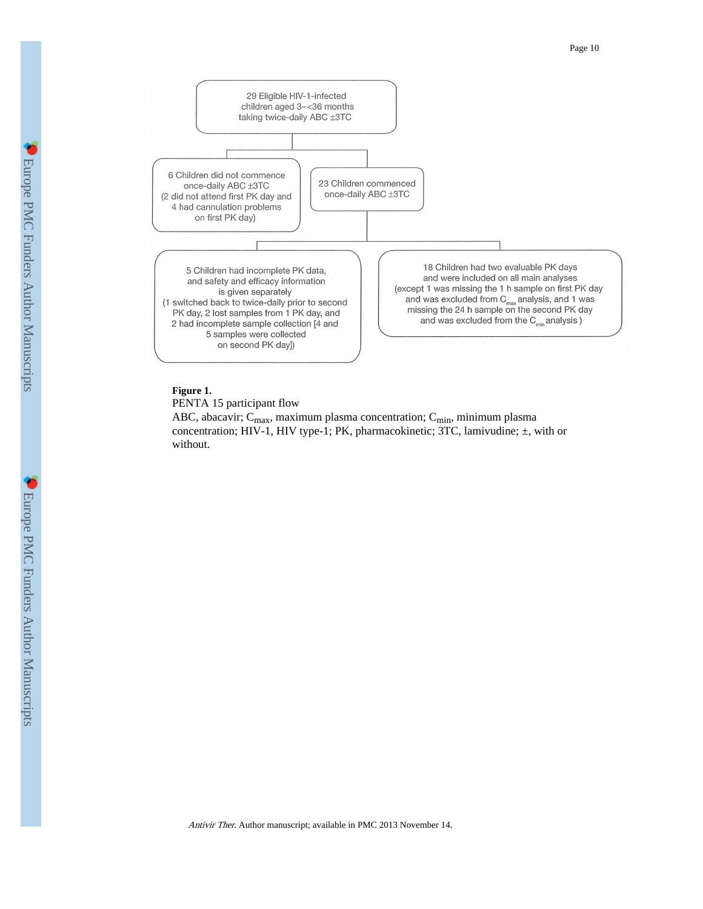



### **Figure 1.**

PENTA 15 participant flow

ABC, abacavir;  $C_{max}$ , maximum plasma concentration;  $C_{min}$ , minimum plasma concentration; HIV-1, HIV type-1; PK, pharmacokinetic; 3TC, lamivudine; ±, with or without.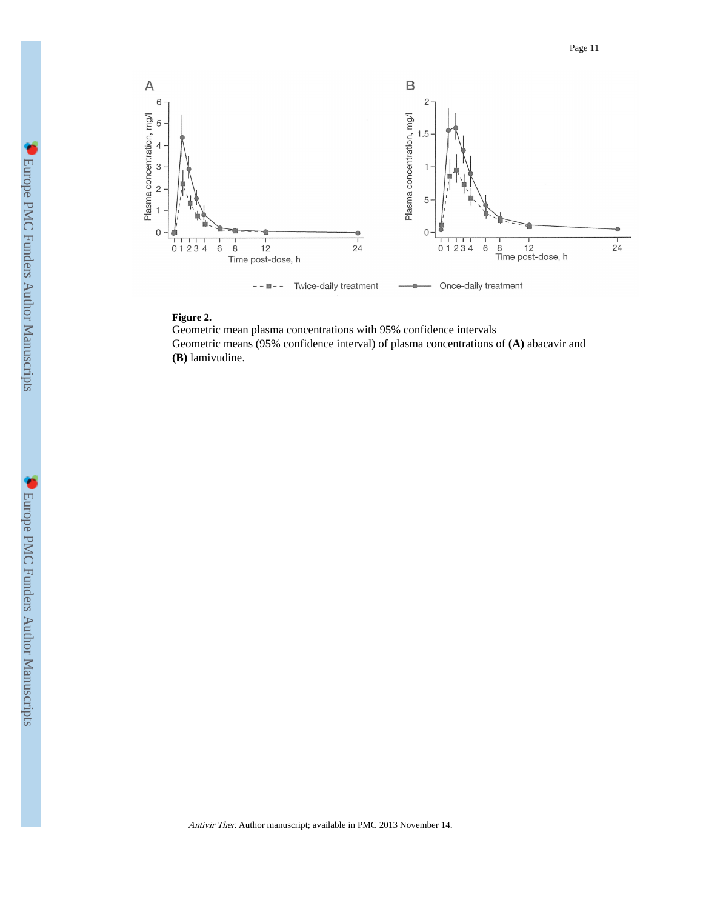

## **Figure 2.**

Geometric mean plasma concentrations with 95% confidence intervals Geometric means (95% confidence interval) of plasma concentrations of **(A)** abacavir and **(B)** lamivudine.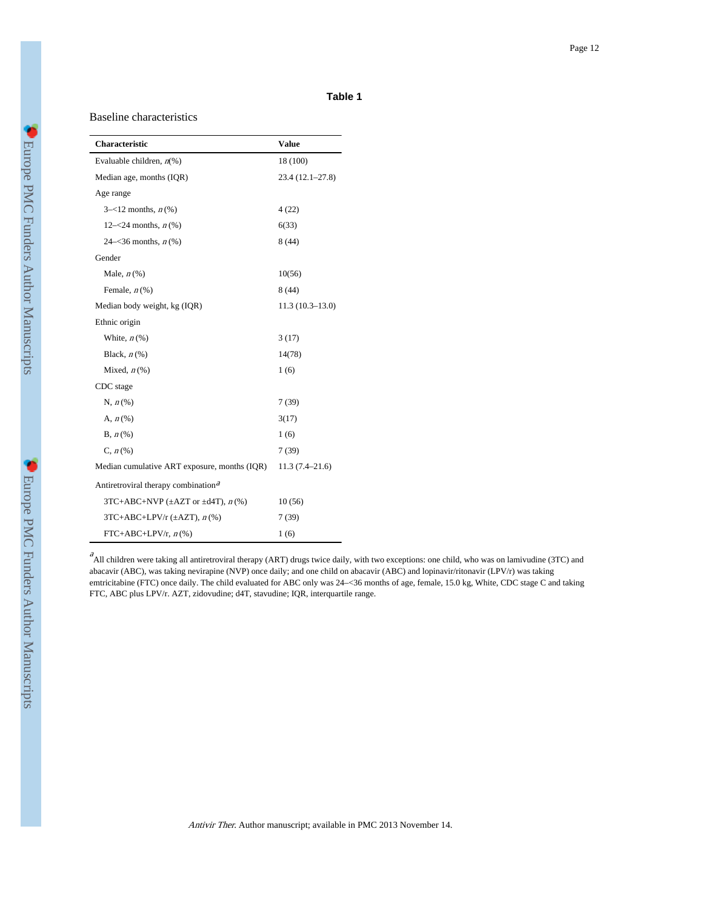#### **Table 1**

#### Baseline characteristics

| Characteristic                                  | Value              |
|-------------------------------------------------|--------------------|
| Evaluable children, $n\%$ )                     | 18 (100)           |
| Median age, months (IQR)                        | 23.4 (12.1-27.8)   |
| Age range                                       |                    |
| $3 - 12$ months, $n$ (%)                        | 4(22)              |
| 12– $\lt 24$ months, $n$ (%)                    | 6(33)              |
| 24– $\lt36$ months, $n$ (%)                     | 8(44)              |
| Gender                                          |                    |
| Male, $n\left(\%\right)$                        | 10(56)             |
| Female, $n$ (%)                                 | 8(44)              |
| Median body weight, kg (IQR)                    | $11.3(10.3-13.0)$  |
| Ethnic origin                                   |                    |
| White, $n\left(\%\right)$                       | 3(17)              |
| Black, $n$ (%)                                  | 14(78)             |
| Mixed, $n\left(\%\right)$                       | 1(6)               |
| CDC stage                                       |                    |
| $N, n$ (%)                                      | 7(39)              |
| A, $n\left(\%\right)$                           | 3(17)              |
| $B, n$ (%)                                      | 1(6)               |
| $C, n$ (%)                                      | 7(39)              |
| Median cumulative ART exposure, months (IQR)    | $11.3(7.4 - 21.6)$ |
| Antiretroviral therapy combination <sup>a</sup> |                    |
| 3TC+ABC+NVP ( $\pm$ AZT or $\pm$ d4T), $n$ (%)  | 10(56)             |
| $3TC+ABC+LPV/r$ ( $\pm AZT$ ), $n$ (%)          | 7(39)              |
| $FTC+ABC+LPV/r, n$ (%)                          | 1(6)               |

 $A$ Il children were taking all antiretroviral therapy (ART) drugs twice daily, with two exceptions: one child, who was on lamivudine (3TC) and abacavir (ABC), was taking nevirapine (NVP) once daily; and one child on abacavir (ABC) and lopinavir/ritonavir (LPV/r) was taking emtricitabine (FTC) once daily. The child evaluated for ABC only was 24–<36 months of age, female, 15.0 kg, White, CDC stage C and taking FTC, ABC plus LPV/r. AZT, zidovudine; d4T, stavudine; IQR, interquartile range.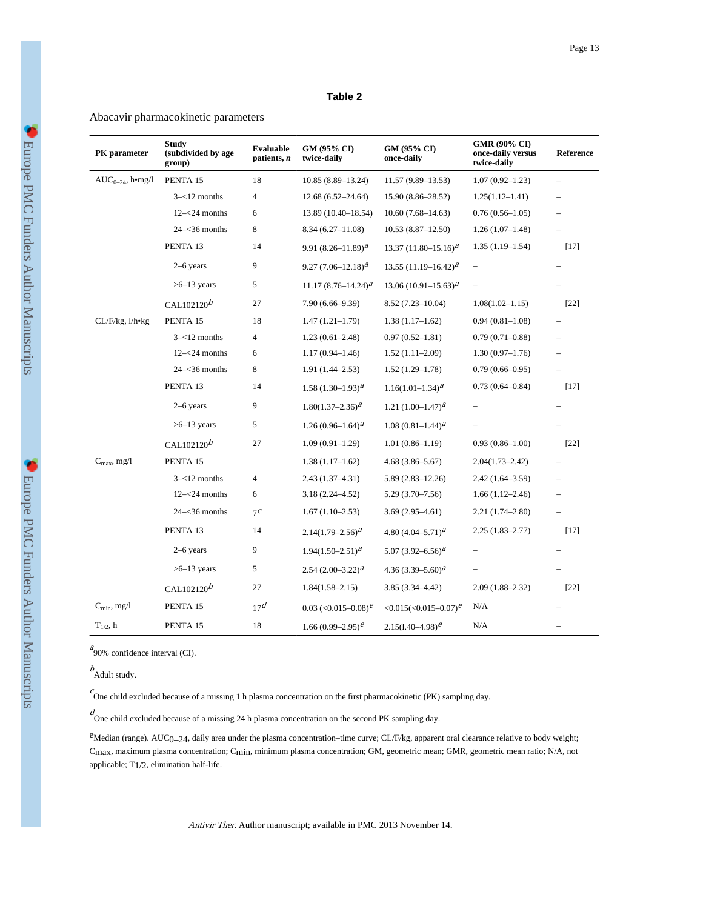#### **Table 2**

#### Abacavir pharmacokinetic parameters

| PK parameter            | <b>Study</b><br>(subdivided by age<br>group) | Evaluable<br>patients, n | GM (95% CI)<br>twice-daily | GM (95% CI)<br>once-daily                   | GMR (90% CI)<br>once-daily versus<br>twice-daily | Reference |
|-------------------------|----------------------------------------------|--------------------------|----------------------------|---------------------------------------------|--------------------------------------------------|-----------|
| $AUC_{0-24}$ , h•mg/l   | PENTA 15                                     | 18                       | 10.85 (8.89-13.24)         | 11.57 (9.89–13.53)                          | $1.07(0.92 - 1.23)$                              |           |
|                         | $3 - 12$ months                              | 4                        | $12.68(6.52 - 24.64)$      | 15.90 (8.86–28.52)                          | $1.25(1.12 - 1.41)$                              |           |
|                         | $12 - 24$ months                             | 6                        | 13.89 (10.40-18.54)        | $10.60(7.68 - 14.63)$                       | $0.76(0.56 - 1.05)$                              |           |
|                         | $24 - 36$ months                             | 8                        | $8.34(6.27-11.08)$         | $10.53(8.87-12.50)$                         | $1.26(1.07-1.48)$                                |           |
|                         | PENTA 13                                     | 14                       | 9.91 $(8.26 - 11.89)^{a}$  | 13.37 $(11.80 - 15.16)^{a}$                 | $1.35(1.19-1.54)$                                | $[17]$    |
|                         | $2-6$ years                                  | 9                        | $9.27(7.06 - 12.18)^{a}$   | 13.55 $(11.19 - 16.42)^{a}$                 | $\qquad \qquad -$                                |           |
|                         | $>6-13$ years                                | 5                        | 11.17 $(8.76 - 14.24)^{a}$ | $13.06(10.91-15.63)^{a}$                    | $\overline{\phantom{0}}$                         |           |
|                         | CAL102120 $b$                                | 27                       | $7.90(6.66 - 9.39)$        | $8.52(7.23 - 10.04)$                        | $1.08(1.02 - 1.15)$                              | $[22]$    |
| CL/F/kg, l/h•kg         | PENTA 15                                     | 18                       | $1.47(1.21-1.79)$          | $1.38(1.17-1.62)$                           | $0.94(0.81 - 1.08)$                              |           |
|                         | $3 - 12$ months                              | 4                        | $1.23(0.61 - 2.48)$        | $0.97(0.52 - 1.81)$                         | $0.79(0.71 - 0.88)$                              |           |
|                         | $12 - 24$ months                             | 6                        | $1.17(0.94 - 1.46)$        | $1.52(1.11-2.09)$                           | $1.30(0.97-1.76)$                                |           |
|                         | $24 - 36$ months                             | 8                        | $1.91(1.44 - 2.53)$        | $1.52(1.29-1.78)$                           | $0.79(0.66 - 0.95)$                              |           |
|                         | PENTA 13                                     | 14                       | 1.58 $(1.30-1.93)^{d}$     | $1.16(1.01-1.34)^{a}$                       | $0.73(0.64 - 0.84)$                              | $[17]$    |
|                         | $2-6$ years                                  | 9                        | $1.80(1.37-2.36)^{a}$      | 1.21 $(1.00-1.47)^{a}$                      | $\overline{\phantom{0}}$                         |           |
|                         | $>6-13$ years                                | 5                        | 1.26 $(0.96-1.64)^{a}$     | $1.08(0.81-1.44)^{a}$                       |                                                  |           |
|                         | CAL102120 $b$                                | 27                       | $1.09(0.91-1.29)$          | $1.01(0.86 - 1.19)$                         | $0.93(0.86 - 1.00)$                              | $[22]$    |
| $C_{\rm max}$ , mg/l    | PENTA 15                                     |                          | $1.38(1.17-1.62)$          | $4.68(3.86 - 5.67)$                         | $2.04(1.73 - 2.42)$                              |           |
|                         | $3 - 12$ months                              | 4                        | 2.43 (1.37–4.31)           | $5.89(2.83 - 12.26)$                        | 2.42 (1.64–3.59)                                 |           |
|                         | $12 - 24$ months                             | 6                        | $3.18(2.24 - 4.52)$        | $5.29(3.70-7.56)$                           | $1.66(1.12 - 2.46)$                              |           |
|                         | $24 - 36$ months                             | 7c                       | $1.67(1.10-2.53)$          | $3.69(2.95-4.61)$                           | $2.21(1.74 - 2.80)$                              |           |
|                         | PENTA 13                                     | 14                       | $2.14(1.79 - 2.56)^{a}$    | 4.80 $(4.04 - 5.71)^{a}$                    | $2.25(1.83 - 2.77)$                              | $[17]$    |
|                         | $2-6$ years                                  | 9                        | $1.94(1.50 - 2.51)^{a}$    | 5.07 $(3.92 - 6.56)^{a}$                    |                                                  |           |
|                         | $>6-13$ years                                | 5                        | $2.54(2.00-3.22)^{a}$      | 4.36 $(3.39 - 5.60)^{a}$                    |                                                  |           |
|                         | CAL102120 $b$                                | 27                       | $1.84(1.58 - 2.15)$        | $3.85(3.34 - 4.42)$                         | $2.09(1.88 - 2.32)$                              | $[22]$    |
| $C_{\text{min}}$ , mg/l | PENTA 15                                     | 17 <sup>d</sup>          | 0.03 $(<0.015-0.08)^e$     | $\leq 0.015 \leq 0.015 - 0.07$ <sup>e</sup> | N/A                                              |           |
| $T_{1/2}$ , h           | PENTA 15                                     | 18                       | 1.66 $(0.99-2.95)^e$       | $2.15(1.40-4.98)^e$                         | N/A                                              |           |

 $a_{90\%}$  confidence interval (CI).

 $b$ Adult study.

Cone child excluded because of a missing 1 h plasma concentration on the first pharmacokinetic (PK) sampling day.

d One child excluded because of a missing 24 h plasma concentration on the second PK sampling day.

eMedian (range). AUC0-24, daily area under the plasma concentration-time curve; CL/F/kg, apparent oral clearance relative to body weight; Cmax, maximum plasma concentration; Cmin, minimum plasma concentration; GM, geometric mean; GMR, geometric mean ratio; N/A, not applicable; T1/2, elimination half-life.